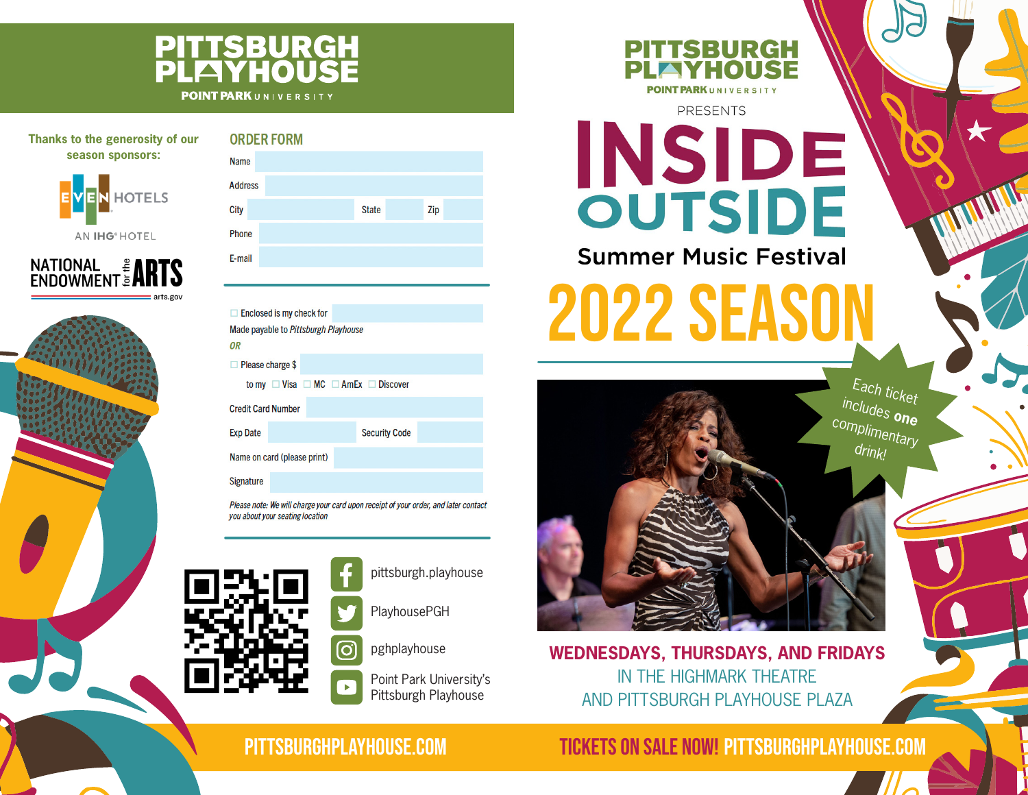## **PITTSBURGH<br>PLFIYHOUSE POINT PARK**UNIVERSITY

| Thanks to the generosity of our | <b>ORDER FORM</b>        |  |  |  |  |
|---------------------------------|--------------------------|--|--|--|--|
| season sponsors:                | <b>Name</b>              |  |  |  |  |
| EVEN HOTELS                     | <b>Address</b>           |  |  |  |  |
|                                 | City                     |  |  |  |  |
| <b>AN IHG<sup>®</sup> HOTEL</b> | Phone                    |  |  |  |  |
|                                 | E-mail                   |  |  |  |  |
| <b>NATIONAL # ARTS</b>          |                          |  |  |  |  |
| $=$ arts.gov                    |                          |  |  |  |  |
|                                 | <b>Enclosed is my ch</b> |  |  |  |  |



| <b>Address</b>                                          |                             |  |  |              |                      |     |  |
|---------------------------------------------------------|-----------------------------|--|--|--------------|----------------------|-----|--|
| City                                                    |                             |  |  | <b>State</b> |                      | Zip |  |
| Phone                                                   |                             |  |  |              |                      |     |  |
| E-mail                                                  |                             |  |  |              |                      |     |  |
|                                                         |                             |  |  |              |                      |     |  |
|                                                         | Enclosed is my check for    |  |  |              |                      |     |  |
| Made payable to Pittsburgh Playhouse                    |                             |  |  |              |                      |     |  |
| <b>OR</b>                                               |                             |  |  |              |                      |     |  |
|                                                         | Please charge \$            |  |  |              |                      |     |  |
| to my $\Box$ Visa $\Box$ MC $\Box$ AmEx $\Box$ Discover |                             |  |  |              |                      |     |  |
|                                                         | <b>Credit Card Number</b>   |  |  |              |                      |     |  |
| <b>Exp Date</b>                                         |                             |  |  |              | <b>Security Code</b> |     |  |
|                                                         | Name on card (please print) |  |  |              |                      |     |  |
| <b>Signature</b>                                        |                             |  |  |              |                      |     |  |
|                                                         |                             |  |  |              |                      |     |  |

Please note: We will charge your card upon receipt of your order, and later contact you about your seating location

ට

 $\blacktriangleright$ 



pittsburgh.playhouse

PlayhousePGH

pghplayhouse

Point Park University's Pittsburgh Playhouse



**PRESENTS** 

**INSIDE Summer Music Festival** 

**2022 SEASO** 

Each ticket includes **one** complimentary drink!

**WEDNESDAYS, THURSDAYS, AND FRIDAYS** IN THE HIGHMARK THEATRE AND PITTSBURGH PLAYHOUSE PLAZA

PITTSBURGHPLAYHOUSE.COM

TICKETS ON SALE NOW! PITTSBURGHPLAYHOUSE.COM